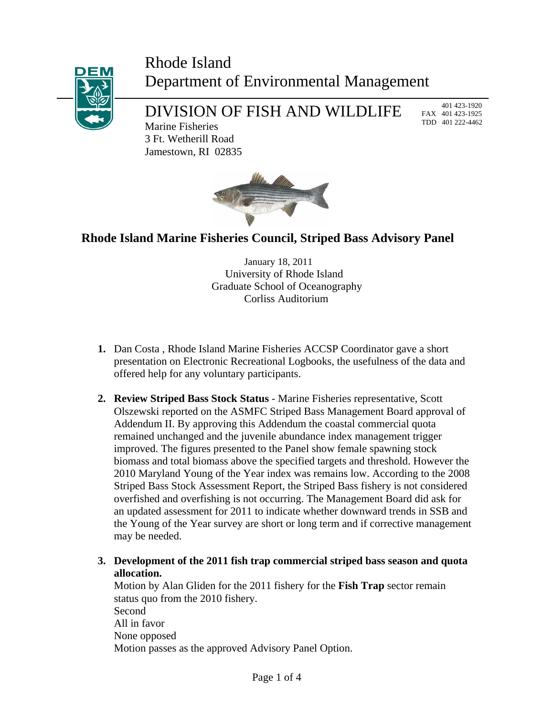## Rhode Island Department of Environmental Management



# DIVISION OF FISH AND WILDLIFE

 401 423-1920 FAX 401 423-1925 TDD 401 222-4462

Marine Fisheries 3 Ft. Wetherill Road Jamestown, RI 02835



## **Rhode Island Marine Fisheries Council, Striped Bass Advisory Panel**

 January 18, 2011 University of Rhode Island Graduate School of Oceanography Corliss Auditorium

- **1.** Dan Costa , Rhode Island Marine Fisheries ACCSP Coordinator gave a short presentation on Electronic Recreational Logbooks, the usefulness of the data and offered help for any voluntary participants.
- **2. Review Striped Bass Stock Status** Marine Fisheries representative, Scott Olszewski reported on the ASMFC Striped Bass Management Board approval of Addendum II. By approving this Addendum the coastal commercial quota remained unchanged and the juvenile abundance index management trigger improved. The figures presented to the Panel show female spawning stock biomass and total biomass above the specified targets and threshold. However the 2010 Maryland Young of the Year index was remains low. According to the 2008 Striped Bass Stock Assessment Report, the Striped Bass fishery is not considered overfished and overfishing is not occurring. The Management Board did ask for an updated assessment for 2011 to indicate whether downward trends in SSB and the Young of the Year survey are short or long term and if corrective management may be needed.
- **3. Development of the 2011 fish trap commercial striped bass season and quota allocation.**

Motion by Alan Gliden for the 2011 fishery for the **Fish Trap** sector remain status quo from the 2010 fishery. Second All in favor None opposed Motion passes as the approved Advisory Panel Option.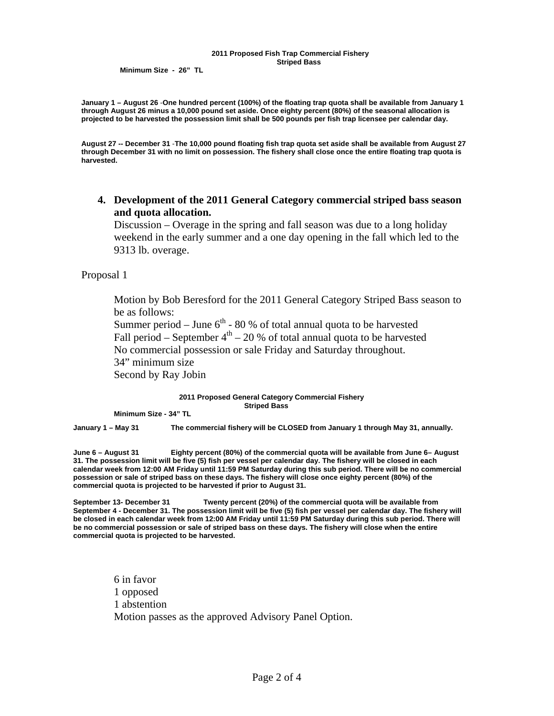#### **2011 Proposed Fish Trap Commercial Fishery Striped Bass**

 **Minimum Size - 26" TL** 

**January 1 – August 26** -**One hundred percent (100%) of the floating trap quota shall be available from January 1 through August 26 minus a 10,000 pound set aside. Once eighty percent (80%) of the seasonal allocation is projected to be harvested the possession limit shall be 500 pounds per fish trap licensee per calendar day.** 

**August 27 -- December 31** -**The 10,000 pound floating fish trap quota set aside shall be available from August 27 through December 31 with no limit on possession. The fishery shall close once the entire floating trap quota is harvested.** 

**4. Development of the 2011 General Category commercial striped bass season and quota allocation.** 

Discussion – Overage in the spring and fall season was due to a long holiday weekend in the early summer and a one day opening in the fall which led to the 9313 lb. overage.

Proposal 1

Motion by Bob Beresford for the 2011 General Category Striped Bass season to be as follows:

Summer period – June  $6^{th}$  - 80 % of total annual quota to be harvested Fall period – September  $4<sup>th</sup>$  – 20 % of total annual quota to be harvested No commercial possession or sale Friday and Saturday throughout.

34" minimum size

Second by Ray Jobin

#### **2011 Proposed General Category Commercial Fishery Striped Bass**

**Minimum Size - 34" TL** 

**January 1 – May 31 The commercial fishery will be CLOSED from January 1 through May 31, annually.** 

**June 6 – August 31 Eighty percent (80%) of the commercial quota will be available from June 6– August 31. The possession limit will be five (5) fish per vessel per calendar day. The fishery will be closed in each calendar week from 12:00 AM Friday until 11:59 PM Saturday during this sub period. There will be no commercial possession or sale of striped bass on these days. The fishery will close once eighty percent (80%) of the commercial quota is projected to be harvested if prior to August 31.**

**September 13- December 31 Twenty percent (20%) of the commercial quota will be available from September 4 - December 31. The possession limit will be five (5) fish per vessel per calendar day. The fishery will be closed in each calendar week from 12:00 AM Friday until 11:59 PM Saturday during this sub period. There will be no commercial possession or sale of striped bass on these days. The fishery will close when the entire commercial quota is projected to be harvested.** 

6 in favor 1 opposed 1 abstention Motion passes as the approved Advisory Panel Option.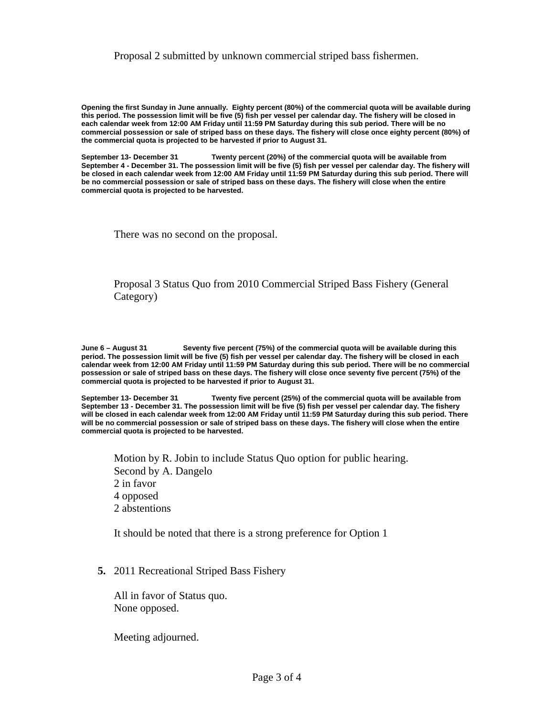### Proposal 2 submitted by unknown commercial striped bass fishermen.

**Opening the first Sunday in June annually. Eighty percent (80%) of the commercial quota will be available during this period. The possession limit will be five (5) fish per vessel per calendar day. The fishery will be closed in each calendar week from 12:00 AM Friday until 11:59 PM Saturday during this sub period. There will be no commercial possession or sale of striped bass on these days. The fishery will close once eighty percent (80%) of the commercial quota is projected to be harvested if prior to August 31.**

**September 13- December 31 Twenty percent (20%) of the commercial quota will be available from September 4 - December 31. The possession limit will be five (5) fish per vessel per calendar day. The fishery will be closed in each calendar week from 12:00 AM Friday until 11:59 PM Saturday during this sub period. There will be no commercial possession or sale of striped bass on these days. The fishery will close when the entire commercial quota is projected to be harvested.** 

There was no second on the proposal.

Proposal 3 Status Quo from 2010 Commercial Striped Bass Fishery (General Category)

**June 6 – August 31 Seventy five percent (75%) of the commercial quota will be available during this period. The possession limit will be five (5) fish per vessel per calendar day. The fishery will be closed in each calendar week from 12:00 AM Friday until 11:59 PM Saturday during this sub period. There will be no commercial possession or sale of striped bass on these days. The fishery will close once seventy five percent (75%) of the commercial quota is projected to be harvested if prior to August 31.**

**September 13- December 31 Twenty five percent (25%) of the commercial quota will be available from September 13 - December 31. The possession limit will be five (5) fish per vessel per calendar day. The fishery will be closed in each calendar week from 12:00 AM Friday until 11:59 PM Saturday during this sub period. There will be no commercial possession or sale of striped bass on these days. The fishery will close when the entire commercial quota is projected to be harvested.** 

Motion by R. Jobin to include Status Quo option for public hearing. Second by A. Dangelo 2 in favor 4 opposed 2 abstentions

It should be noted that there is a strong preference for Option 1

**5.** 2011 Recreational Striped Bass Fishery

 All in favor of Status quo. None opposed.

Meeting adjourned.